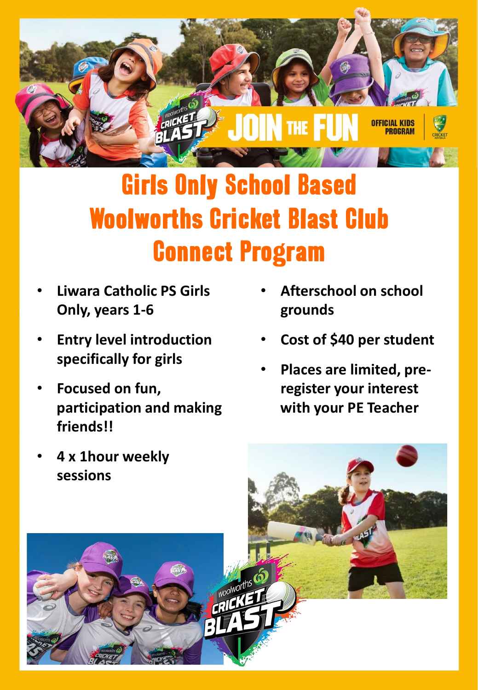

## Girls Only School Based Woolworths Cricket Blast Club Connect Program

- **Liwara Catholic PS Girls Only, years 1-6**
- **Entry level introduction specifically for girls**
- **Focused on fun, participation and making friends!!**
- **Afterschool on school grounds**
- **Cost of \$40 per student**
- **Places are limited, preregister your interest with your PE Teacher**

• **4 x 1hour weekly sessions**